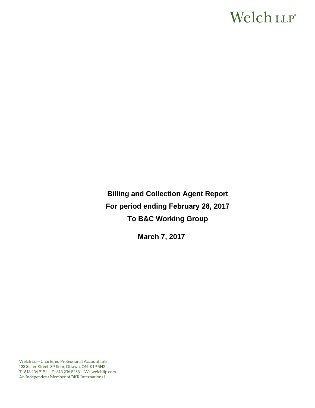# Welch LLP®

**Billing and Collection Agent Report For period ending February 28, 2017 To B&C Working Group** 

**March 7, 2017**

Welch LLP - Chartered Professional Accountants 123 Slater Street, 3rd floor, Ottawa, ON K1P 5H2 T: 613 236 9191 F: 613 236 8258 W: welchllp.com An Independent Member of BKR International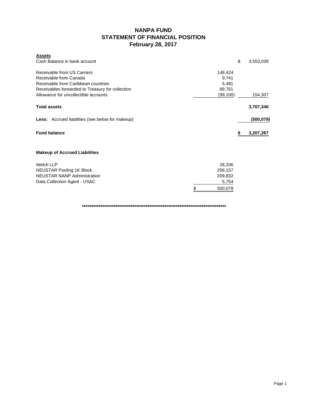### **NANPA FUND STATEMENT OF FINANCIAL POSITION February 28, 2017**

| <b>Assets</b>                                    |          |                 |
|--------------------------------------------------|----------|-----------------|
| Cash Balance in bank account                     |          | \$<br>3,553,039 |
| Receivable from US Carriers                      | 148,424  |                 |
|                                                  |          |                 |
| Receivable from Canada                           | 9,741    |                 |
| Receivable from Caribbean countries              | 5,481    |                 |
| Receivables forwarded to Treasury for collection | 89,761   |                 |
| Allowance for uncollectible accounts             | (99,100) | 154,307         |
| <b>Total assets</b>                              |          | 3,707,346       |
| Less: Accrued liabilities (see below for makeup) |          | (500, 079)      |
| <b>Fund balance</b>                              |          | 3,207,267       |
| <b>Makeup of Accrued Liabilities</b>             |          |                 |
| <b>Welch LLP</b>                                 | 28,336   |                 |
| <b>NEUSTAR Pooling 1K Block</b>                  | 256,157  |                 |
| <b>NEUSTAR NANP Administration</b>               | 209,832  |                 |
| Data Collection Agent - USAC                     | 5,754    |                 |
|                                                  | 500,079  |                 |
|                                                  |          |                 |

**\*\*\*\*\*\*\*\*\*\*\*\*\*\*\*\*\*\*\*\*\*\*\*\*\*\*\*\*\*\*\*\*\*\*\*\*\*\*\*\*\*\*\*\*\*\*\*\*\*\*\*\*\*\*\*\*\*\*\*\*\*\*\*\*\*\*\*\*\*\*\*\*\*\*\*\*\***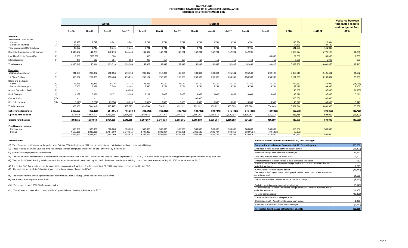#### **NANPA FUND FORECASTED STATEMENT OF CHANGES IN FUND BALANCE OCTOBER 2016 TO SEPTEMBER 2017**

|                                                                     |            | Actual               |                          |                      |                      | <b>Budget</b>        |                      |                      |                          |                          |                    |                          |                    |                    | Variance between<br>forecasted results |                             |
|---------------------------------------------------------------------|------------|----------------------|--------------------------|----------------------|----------------------|----------------------|----------------------|----------------------|--------------------------|--------------------------|--------------------|--------------------------|--------------------|--------------------|----------------------------------------|-----------------------------|
|                                                                     |            | Oct-16               | <b>Nov-16</b>            | Dec-16               | $Jan-17$             | Feb-17               | Mar-17               | Apr-17               | May-17                   | <b>Jun-17</b>            | <b>Jul-17</b>      | Aug-17                   | <b>Sep-17</b>      | <b>Total</b>       | <b>Budget</b>                          | and budget at Sept<br>30/17 |
| Revenue<br><b>International Contributions</b><br>Canada             | (1)        | 19,483               | 9,742                    | 9,741                | 9,741                | 9,741                | 9,741                | 9,741                | 9,741                    | 9,741                    | 9,741              | 9,741                    |                    | 116,894            | 116,894                                |                             |
| Caribbean countries<br><b>Total International Contributions</b>     | (1)        | 24.439<br>43,922     | $\sim$<br>9,742          | $\sim$<br>9,741      | $\sim$<br>9,741      | $\sim$ $-$<br>9,741  | 9,741                | $\sim$<br>9,741      | $\sim$<br>9,741          | $\sim$<br>9,741          | $\sim$<br>9,741    | $\sim$<br>9,741          | . .                | 24,439<br>141,333  | 24,439<br>141,333                      |                             |
| Domestic Contributions - US carriers                                | (1)        | 4,440,157            | 141,285                  | 142,274              | 144.440              | 147.472              | 142,291              | 142,291              | 142,291                  | 142,291                  | 142,291            | 142,291                  |                    | 5,869,374          | 5,775,123                              | 94,251                      |
| Late filing fees for Form 499A                                      | (2)        | 2,300                | (800.00)                 | 800                  | $\sim$               | 400                  | $\sim$               | $\sim$               | $\overline{\phantom{a}}$ | $\overline{\phantom{a}}$ | $\sim$             | $\overline{\phantom{a}}$ | 80,000             | 82,700             | 80,000                                 | 2,700                       |
| Interest income                                                     | (3)        | 470                  | 587                      | 904                  | 388                  | 295                  | 417                  | 417                  | 417                      | 416                      | 416                | 416                      | 416                | 5,559              | 5,000                                  | 559                         |
| <b>Total revenue</b>                                                |            | 4.486.849            | 150.814                  | 153,719              | 154.569              | 157,908              | 152,449              | 152,449              | 152,449                  | 152,448                  | 152,448            | 152,448                  | 80,416             | 6,098,966          | 6,001,456                              | 97,510                      |
| <b>Expenses</b><br><b>NANPA Administration</b>                      | (4)        | 241,963              | 209,832                  | 212,034              | 210,753              | 209,832              | 212,364              | 189,864              | 189,864                  | 189,864                  | 195,561            | 195,560                  | 202,122            | 2,459,613          | 2,425,461                              | 34,152                      |
| 1K Block Pooling                                                    | (5)        | 353,567              | 257,865                  | 255,403              | 255,291              | 256,157              | 258,989              | 258,989              | 258,989                  | 258,989                  | 258,989            | 258,989                  | 258,988            | 3,191,205          | 3,107,867                              | 83,338                      |
| <b>Billing and Collection</b><br>Welch LLP<br>Data Collection Agent | (6)<br>(7) | 28,336<br>5,806      | 28,336<br>5,328          | 28,336<br>7,508      | 28,336<br>8,162      | 28,336<br>5,930      | 31,169<br>5,754      | 31,169<br>5,754      | 31,169<br>5,754          | 31,169<br>5,754          | 31,169<br>5,754    | 31.169<br>5,754          | 31,169<br>5,754    | 359,863<br>73,012  | 374,028<br>69,950                      | (14, 165)<br>3,062          |
| <b>Annual Operations Audit</b>                                      | (8)        | $\sim$               | $\sim$                   | $\sim$               | 46,000               | $\sim$               | $\sim$               | $\sim$               | $\sim$                   | $\sim$                   | $\sim$             |                          |                    | 46,000             | 47,000                                 | (1,000)                     |
| <b>Bank Charges</b>                                                 | (9)        | 4,132                | 6,031                    | 5,171                | 3,185                | 3.111                | 3,083                | 3,083                | 3,083                    | 3,083                    | 3,083              | 3,083                    | 3,083              | 43,211             | 37,000                                 | 6,211                       |
| <b>Carrier Audits</b>                                               | (10)       | $\sim$               | $\overline{\phantom{a}}$ | $\sim$               | $\sim$               | $\sim$               | $\sim$               |                      | 300,000                  | $\overline{\phantom{a}}$ |                    | $\sim$                   |                    | 300,000            | 300,000                                |                             |
| Bad debt expense                                                    | (11)       | 5,648)               | 3,287                    | 29,958               | 8,096                | 3,810                | 3,333                | 3,333                | 3,333                    | 3,333                    | 3,333              | 3,333                    | 3,333              | 48,640             | 40,000                                 | 8,640                       |
| <b>Total expenses</b>                                               |            | 628,156              | 504,105                  | 538,410              | 559,823              | 499,556              | 514,692              | 492,192              | 792,192                  | 492,192                  | 497,889            | 497,888                  | 504.449            | 6.521.544          | 6,401,306                              | 120,238                     |
| Net revenue (expenses)                                              |            | 3,858,693            | 353,291)                 | 384,691)             | 405,254) (           | 341,648)             | 362,243)             | 339,743)             | 639,743)                 | 339,744)                 | 345,441)           | 345,440) (               | 424,033) (         | 422,578) (         | 399,850)                               | (22, 728)                   |
| Opening fund balance                                                |            | 833,458              | 4,692,151                | 4,338,860            | 3,954,169            | 3,548,915            | 3,207,267            | 2,845,024            | 2,505,281                | 1,865,538                | 1,525,794          | 1,180,353                | 834,913            | 833,458            | 899,850                                | (66, 392)                   |
| <b>Closing fund balance</b>                                         |            | 4,692,151            | 4,338,860                | 3,954,169            | 3,548,915            | 3,207,267            | 2,845,024            | 2,505,281            | 1,865,538                | 1,525,794                | 1,180,353          | 834,913                  | 410,880            | 410,880            | 500,000                                | (89, 120)                   |
| Fund balance makeup:<br>Contingency<br>Surplus                      |            | 500,000<br>4.192.151 | 500,000<br>3.838.860     | 500,000<br>3.454.169 | 500,000<br>3.048.915 | 500,000<br>2.707.267 | 500,000<br>2.345.024 | 500,000<br>2.005.281 | 500,000<br>1.365.538     | 500,000<br>1.025.794     | 500,000<br>680.353 | 500,000<br>334.913       | 500,000<br>89,120) | 500,000<br>89,120) | 500,000                                |                             |
|                                                                     |            | 4.692.151            | 4.338.860                | 3.954.169            | 3.548.915            | 3.207.267            | 2.845.024            | 2.505.281            | 1.865.538                | 1.525.794                | 1.180.353          | 834.913                  | 410.880            | 410.880            | 500,000                                |                             |

**(1)** The US carrier contributions for the period from October 2016 to September 2017 and the International contributions are based upon actual billings.

(2) These fees represent the \$100 late filing fee charged to those companies that do not file the Form 499A by the due date.

**(3)** Interest income projections are estimates

(4) The cost of NANP administration is based on the contract in force until June 2017. Estimates are used for July to September 2017. \$130,000 is also added for potential change orders anticipated to be issued by Sep 2017.

(5) The cost for 1K Block Pooling Administration is based on the contract in force until July 14, 2017. Estimates based on the existing contract amounts are used for July 15, 2017 to September 30, 2017.

**(7)** The expense for the Data Collection Agent is based on estimate of costs by USAC. (6) The cost of B&C Agent is based on the current interim contract with Welch LLP in force until April 30, 2017 plus 10% as recommended by the FCC.

**(8)** The expense for the annual operations audit performed by Ernst & Young LLP is based on the quote given.

**(9)** Bank fees are an expense to the Fund.

**(10)** The budget allowed \$300,000 for carrier audits.

**(11)** The allowance covers all accounts considered potentially uncollectible at February 28, 2017.

#### **Assumptions: Reconciliation of forecast at September 30, 2017 to budget**

| Budgeted fund balance at September 30, 2017 - contingency                                                                       | 500,000   |
|---------------------------------------------------------------------------------------------------------------------------------|-----------|
| Decrease in fund balance between budget period                                                                                  | (66, 392) |
| Additional billings over estimate from budget                                                                                   | 94,251    |
| Late filing fees (reversal) for Form 499A                                                                                       | 2,700     |
| Underestimate of interest earned to date compared to budget                                                                     | 559       |
| NANP Admin - difference between budget and actual contract awarded due to<br>variable travel costs                              | 2,295     |
| NANP Admin - change orders issued                                                                                               | (36, 447) |
| Decrease in B&C Agent costs - aniticipated 10% increase not in effect as contract<br>not yet renewed                            | 14,165    |
| Data Collection fees - Adjustment to actual from budget                                                                         | (3,062)   |
| Bad debts - Adjustment to actual from budget<br>IK Block Pooling - difference between budget and actual contract awarded due to | (8,640)   |
| variable travel costs                                                                                                           | 11,862    |
| Pooling change orders                                                                                                           | (95, 200) |
| Carrier audits that will not be performed                                                                                       |           |
| Operations Audit - Adjustment to actual from budget                                                                             | 1,000     |
| Bank fees - Adjustment to actual from budget                                                                                    | (6, 211)  |
| Forecasted fund balance at September 30, 2017                                                                                   | 410,880   |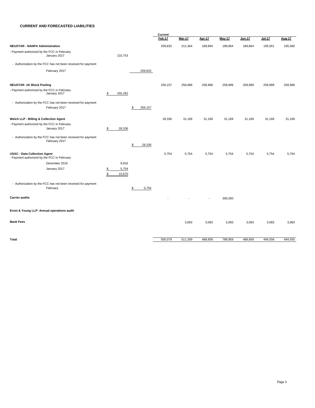#### **CURRENT AND FORECASTED LIABILITIES**

|                                                                                    |                                        |               | Current |               |                          |               |         |          |         |
|------------------------------------------------------------------------------------|----------------------------------------|---------------|---------|---------------|--------------------------|---------------|---------|----------|---------|
|                                                                                    |                                        |               | Feb-17  | <b>Mar-17</b> | <b>Apr-17</b>            | <b>May-17</b> | Jun-17  | $Jul-17$ | Aug-17  |
| <b>NEUSTAR - NANPA Administration</b>                                              |                                        |               | 209,832 | 212,364       | 189,864                  | 189,864       | 189,864 | 195,561  | 195,560 |
| - Payment authorized by the FCC in February<br>January 2017                        | 210,753                                |               |         |               |                          |               |         |          |         |
| - Authorization by the FCC has not been received for payment                       |                                        |               |         |               |                          |               |         |          |         |
| February 2017                                                                      |                                        | 209,832       |         |               |                          |               |         |          |         |
| <b>NEUSTAR -1K Block Pooling</b>                                                   |                                        |               | 256,157 | 258,989       | 258,989                  | 258,989       | 258,989 | 258,989  | 258,989 |
| - Payment authorized by the FCC in February<br>January 2017                        | 255,292<br>\$                          |               |         |               |                          |               |         |          |         |
| - Authorization by the FCC has not been received for payment                       |                                        |               |         |               |                          |               |         |          |         |
| February 2017                                                                      |                                        | 256,157<br>\$ |         |               |                          |               |         |          |         |
| Welch LLP - Billing & Collection Agent                                             |                                        |               | 28,336  | 31,169        | 31,169                   | 31,169        | 31,169  | 31,169   | 31,169  |
| - Payment authorized by the FCC in February                                        |                                        |               |         |               |                          |               |         |          |         |
| January 2017                                                                       | 28,336<br>\$                           |               |         |               |                          |               |         |          |         |
| - Authorization by the FCC has not been received for payment<br>February 2017      |                                        |               |         |               |                          |               |         |          |         |
|                                                                                    |                                        | \$<br>28,336  |         |               |                          |               |         |          |         |
| <b>USAC - Data Collection Agent</b><br>- Payment authorized by the FCC in February |                                        |               | 5,754   | 5,754         | 5,754                    | 5,754         | 5,754   | 5,754    | 5,754   |
| December 2016                                                                      | 9,916                                  |               |         |               |                          |               |         |          |         |
| January 2017                                                                       | 5,754<br>$\frac{1}{2}$<br>\$<br>15,670 |               |         |               |                          |               |         |          |         |
|                                                                                    |                                        |               |         |               |                          |               |         |          |         |
| - Authorization by the FCC has not been received for payment                       |                                        |               |         |               |                          |               |         |          |         |
| February                                                                           |                                        | 5,754<br>\$   |         |               |                          |               |         |          |         |
| <b>Carrier audits</b>                                                              |                                        |               |         |               | $\overline{\phantom{a}}$ | 300,000       |         |          |         |
| Ernst & Young LLP- Annual operations audit                                         |                                        |               |         |               |                          |               |         |          |         |
| <b>Bank Fees</b>                                                                   |                                        |               |         | 3,083         | 3,083                    | 3,083         | 3,083   | 3,083    | 3,083   |
|                                                                                    |                                        |               |         |               |                          |               |         |          |         |
| <b>Total</b>                                                                       |                                        |               | 500,079 | 511,359       | 488,859                  | 788,859       | 488,859 | 494,556  | 494,555 |